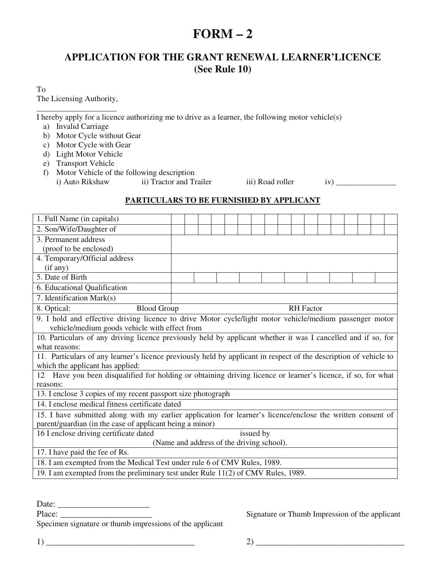## **FORM – 2**

## **APPLICATION FOR THE GRANT RENEWAL LEARNER'LICENCE (See Rule 10)**

To The Licensing Authority,

\_\_\_\_\_\_\_\_\_\_\_\_\_\_\_\_\_\_\_\_ I hereby apply for a licence authorizing me to drive as a learner, the following motor vehicle(s)

- a) Invalid Carriage
- b) Motor Cycle without Gear
- c) Motor Cycle with Gear
- d) Light Motor Vehicle
- e) Transport Vehicle
- f) Motor Vehicle of the following description i) Auto Rikshaw ii) Tractor and Trailer iii) Road roller iv)  $\frac{1}{\sqrt{2}}$

## **PARTICULARS TO BE FURNISHED BY APPLICANT**

| 1. Full Name (in capitals)                                                                                        |  |  |  |  |  |  |  |  |  |  |  |
|-------------------------------------------------------------------------------------------------------------------|--|--|--|--|--|--|--|--|--|--|--|
| 2. Son/Wife/Daughter of                                                                                           |  |  |  |  |  |  |  |  |  |  |  |
| 3. Permanent address                                                                                              |  |  |  |  |  |  |  |  |  |  |  |
| (proof to be enclosed)                                                                                            |  |  |  |  |  |  |  |  |  |  |  |
| 4. Temporary/Official address                                                                                     |  |  |  |  |  |  |  |  |  |  |  |
| (if any)                                                                                                          |  |  |  |  |  |  |  |  |  |  |  |
| 5. Date of Birth                                                                                                  |  |  |  |  |  |  |  |  |  |  |  |
| 6. Educational Qualification                                                                                      |  |  |  |  |  |  |  |  |  |  |  |
| 7. Identification Mark(s)                                                                                         |  |  |  |  |  |  |  |  |  |  |  |
| 8. Optical:<br><b>Blood Group</b><br><b>RH</b> Factor                                                             |  |  |  |  |  |  |  |  |  |  |  |
| 9. I hold and effective driving licence to drive Motor cycle/light motor vehicle/medium passenger motor           |  |  |  |  |  |  |  |  |  |  |  |
| vehicle/medium goods vehicle with effect from                                                                     |  |  |  |  |  |  |  |  |  |  |  |
| 10. Particulars of any driving licence previously held by applicant whether it was I cancelled and if so, for     |  |  |  |  |  |  |  |  |  |  |  |
| what reasons:                                                                                                     |  |  |  |  |  |  |  |  |  |  |  |
| 11. Particulars of any learner's licence previously held by applicant in respect of the description of vehicle to |  |  |  |  |  |  |  |  |  |  |  |
| which the applicant has applied:                                                                                  |  |  |  |  |  |  |  |  |  |  |  |
| 12 Have you been disqualified for holding or obtaining driving licence or learner's licence, if so, for what      |  |  |  |  |  |  |  |  |  |  |  |
| reasons:                                                                                                          |  |  |  |  |  |  |  |  |  |  |  |
| 13. I enclose 3 copies of my recent passport size photograph                                                      |  |  |  |  |  |  |  |  |  |  |  |
| 14. I enclose medical fitness certificate dated                                                                   |  |  |  |  |  |  |  |  |  |  |  |
| 15. I have submitted along with my earlier application for learner's licence/enclose the written consent of       |  |  |  |  |  |  |  |  |  |  |  |
| parent/guardian (in the case of applicant being a minor)                                                          |  |  |  |  |  |  |  |  |  |  |  |
| 16 I enclose driving certificate dated<br>issued by                                                               |  |  |  |  |  |  |  |  |  |  |  |
| (Name and address of the driving school).                                                                         |  |  |  |  |  |  |  |  |  |  |  |
| 17. I have paid the fee of Rs.                                                                                    |  |  |  |  |  |  |  |  |  |  |  |
| 18. I am exempted from the Medical Test under rule 6 of CMV Rules, 1989.                                          |  |  |  |  |  |  |  |  |  |  |  |
| 19. I am exempted from the preliminary test under Rule 11(2) of CMV Rules, 1989.                                  |  |  |  |  |  |  |  |  |  |  |  |

Date: \_\_\_\_\_\_\_\_\_\_\_\_\_\_\_\_\_\_\_\_\_

Specimen signature or thumb impressions of the applicant

Place: \_\_\_\_\_\_\_\_\_\_\_\_\_\_\_\_\_\_\_\_\_ Signature or Thumb Impression of the applicant

 $1)$   $2)$